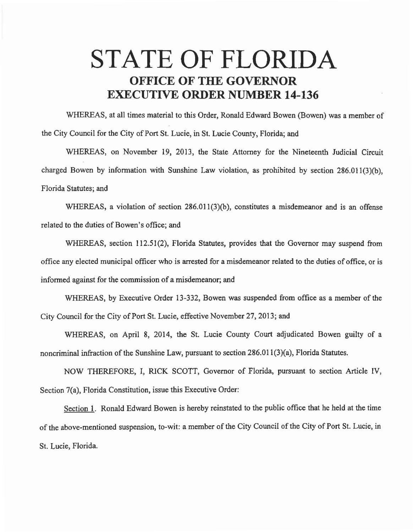## **STATE OF FLORIDA OFFICE OF THE GOVERNOR EXECUTIVE ORDER NUMBER 14-136**

WHEREAS, at all times material to this Order, Ronald Edward Bowen (Bowen) was a member of the City Council for the City of Port St. Lucie, in St. Lucie County, Florida; and

WHEREAS, on November 19, 2013, the State Attorney for the Nineteenth Judicial Circuit charged Bowen by information with Sunshine Law violation, as prohibited by section 286.011(3)(b), Florida Statutes; and

WHEREAS, a violation of section 286.011(3)(b), constitutes a misdemeanor and is an offense related to the duties of Bowen's office; and

WHEREAS, section 112.51(2), Florida Statutes, provides that the Governor may suspend from office any elected municipal officer who is arrested for a misdemeanor related to the duties of office, or is informed against for the commission of a misdemeanor; and

WHEREAS, by Executive Order 13-332, Bowen was suspended from office as a member of the City Council for the City of Port St. Lucie, effective November 27, 2013; and

WHEREAS, on April 8, 2014, the St. Lucie County Court adjudicated Bowen guilty of a noncriminal infraction of the Sunshine Law, pursuant to section 286.011(3)(a), Florida Statutes.

NOW THEREFORE, I, RICK SCOTT, Governor of Florida, pursuant to section Article IV, Section 7(a), Florida Constitution, issue this Executive Order:

Section 1. Ronald Edward Bowen is hereby reinstated to the public office that he held at the time of the above-mentioned suspension, to-wit: a member of the City Council of the City of Port St. Lucie, in St. Lucie, Florida.